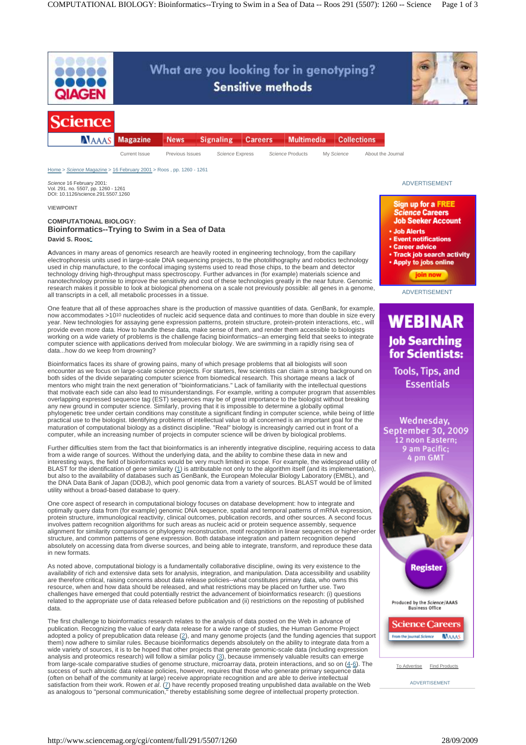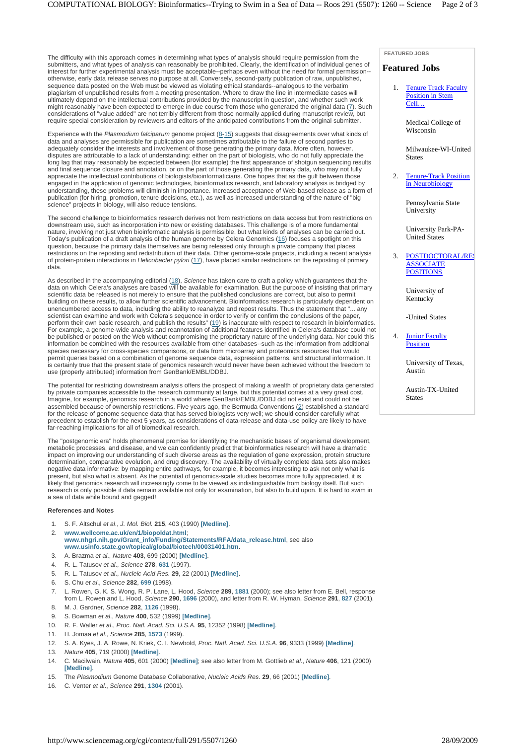The difficulty with this approach comes in determining what types of analysis should require permission from the submitters, and what types of analysis can reasonably be prohibited. Clearly, the identification of individual genes of interest for further experimental analysis must be acceptable--perhaps even without the need for formal permission- otherwise, early data release serves no purpose at all. Conversely, second-party publication of raw, unpublished, sequence data posted on the Web must be viewed as violating ethical standards--analogous to the verbatim plagiarism of unpublished results from a meeting presentation. Where to draw the line in intermediate cases will ultimately depend on the intellectual contributions provided by the manuscript in question, and whether such work might reasonably have been expected to emerge in due course from those who generated the original data (7). Such considerations of "value added" are not terribly different from those normally applied during manuscript review, but require special consideration by reviewers and editors of the anticipated contributions from the original submitter.

Experience with the Plasmodium falciparum genome project (8-15) suggests that disagreements over what kinds of data and analyses are permissible for publication are sometimes attributable to the failure of second parties to adequately consider the interests and involvement of those generating the primary data. More often, however, disputes are attributable to a lack of understanding: either on the part of biologists, who do not fully appreciate the<br>long lag that may reasonably be expected between (for example) the first appearance of shotgun sequenc and final sequence closure and annotation, or on the part of those generating the primary data, who may not fully<br>appreciate the intellectual contributions of biologists/bioinformaticians. One hopes that as the gulf betwee engaged in the application of genomic technologies, bioinformatics research, and laboratory analysis is bridged by understanding, these problems will diminish in importance. Increased acceptance of Web-based release as a form of publication (for hiring, promotion, tenure decisions, etc.), as well as increased understanding of the nature of "big science" projects in biology, will also reduce tensions.

The second challenge to bioinformatics research derives not from restrictions on data access but from restrictions on downstream use, such as incorporation into new or existing databases. This challenge is of a more fundamental<br>nature, involving not just when bioinformatic analysis is permissible, but what kinds of analyses can be carried Today's publication of a draft analysis of the human genome by Celera Genomics (<u>16</u>) focuses a spotlight on this<br>question, because the primary data themselves are being released only through a private company that places restrictions on the reposting and redistribution of their data. Other genome-scale projects, including a recent analysis of protein-protein interactions in Helicobacter pylori (17), have placed similar restrictions on the reposting of primary data.

As described in the accompanying editorial (18), Science has taken care to craft a policy which guarantees that the data on which Celera's analyses are based will be available for examination. But the purpose of insisting that primary scientific data be released is not merely to ensure that the published conclusions are correct, but also to permit building on these results, to allow further scientific advancement. Bioinformatics research is particularly dependent on unencumbered access to data, including the ability to reanalyze and repost results. Thus the statement that "… any<br>scientist can examine and work with Celera's sequence in order to verify or confirm the conclusions of the perform their own basic research, and publish the results" (19) is inaccurate with respect to research in bioinformatics. For example, a genome-wide analysis and reannotation of additional features identified in Celera's database could not be published or posted on the Web without compromising the proprietary nature of the underlying data. Nor could this information be combined with the resources available from other databases--such as the information from additional species necessary for cross-species comparisons, or data from microarray and proteomics resources that would permit queries based on a combination of genome sequence data, expression patterns, and structural information. It is certainly true that the present state of genomics research would never have been achieved without the freedom to use (properly attributed) information from GenBank/EMBL/DDBJ.

The potential for restricting downstream analysis offers the prospect of making a wealth of proprietary data generated by private companies accessible to the research community at large, but this potential comes at a very great cost. Imagine, for example, genomics research in a world where GenBank/EMBL/DDBJ did not exist and could not be assembled because of ownership restrictions. Five years ago, the Bermuda Conventions (2) established a standard for the release of genome sequence data that has served biologists very well; we should consider carefully what<br>precedent to establish for the next 5 years, as considerations of data-release and data-use policy are likely far-reaching implications for all of biomedical research.

The "postgenomic era" holds phenomenal promise for identifying the mechanistic bases of organismal development, metabolic processes, and disease, and we can confidently predict that bioinformatics research will have a dramatic<br>impact on improving our understanding of such diverse areas as the regulation of gene expression, protein s determination, comparative evolution, and drug discovery. The availability of virtually complete data sets also makes negative data informative: by mapping entire pathways, for example, it becomes interesting to ask not only what is present, but also what is absent. As the potential of genomics-scale studies becomes more fully appreciated, it is likely that genomics research will increasingly come to be viewed as indistinguishable from biology itself. But such<br>research is only possible if data remain available not only for examination, but also to build upon. It i a sea of data while bound and gagged!

### **References and Notes**

- 1. S. F. Altschul et al., J. Mol. Biol. **215**, 403 (1990) **[Medline]**.
- 2. **www.wellcome.ac.uk/en/1/biopoldat.html**; **www.nhgri.nih.gov/Grant\_info/Funding/Statements/RFA/data\_release.html**, see also **www.usinfo.state.gov/topical/global/biotech/00031401.htm**.
- 3. A. Brazma et al., Nature **403**, 699 (2000) **[Medline]**.
- 4. R. L. Tatusov et al., Science **278**, **631** (1997).
- 5. R. L. Tatusov et al., Nucleic Acid Res. **29**, 22 (2001) **[Medline]**.
- 6. S. Chu et al., Science **282**, **699** (1998).
- 7. L. Rowen, G. K. S. Wong, R. P. Lane, L. Hood, Science **289**, **1881** (2000); see also letter from E. Bell, response from L. Rowen and L. Hood, Science **290**, **1696** (2000), and letter from R. W. Hyman, Science **291**, **827** (2001). 8. M. J. Gardner, Science **282**, **1126** (1998).
- 9. S. Bowman et al., Nature **400**, 532 (1999) **[Medline]**.
- 10. R. F. Waller et al., Proc. Natl. Acad. Sci. U.S.A. **95**, 12352 (1998) **[Medline]**.
- 11. H. Jomaa et al., Science **285**, **1573** (1999).
- 12. S. A. Kyes, J. A. Rowe, N. Kriek, C. I. Newbold, Proc. Natl. Acad. Sci. U.S.A. **96**, 9333 (1999) **[Medline]**.
- 13. Nature **405**, 719 (2000) **[Medline]**.
- 14. C. Macilwain, Nature **405**, 601 (2000) **[Medline]**; see also letter from M. Gottlieb et al., Nature **406**, 121 (2000) **[Medline]**.
- 15. The Plasmodium Genome Database Collaborative, Nucleic Acids Res. **29**, 66 (2001) **[Medline]**.
- 16. C. Venter et al., Science **291**, **1304** (2001).

**FEATURED JOBS** 

# **Featured Jobs**

**Tenure Track Faculty** Position in Stem Cell…

> Medical College of Wisconsin

Milwaukee-WI-United **States** 

**Tenure-Track Position** in Neurobiology

> Pennsylvania State University

University Park-PA-United States

3. POSTDOCTORAL/RES **ASSOCIATE POSITIONS** 

> University of Kentucky

-United States

**Junior Faculty Position** 

> University of Texas, Austin

Austin-TX-United States

5. Senior Faculty